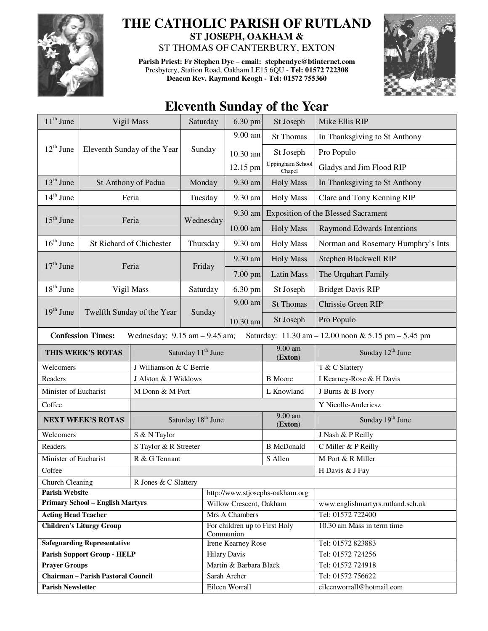

## **THE CATHOLIC PARISH OF RUTLAND ST JOSEPH, OAKHAM &**

ST THOMAS OF CANTERBURY, EXTON

**Parish Priest: Fr Stephen Dye** – **email: stephendye@btinternet.com** Presbytery, Station Road, Oakham LE15 6QU - **Tel: 01572 722308 Deacon Rev. Raymond Keogh - Tel: 01572 755360** 



## **Eleventh Sunday of the Year**

| $11^{\text{th}}$ June                                                                                                | Vigil Mass                 |                                | Saturday                       |                                            | 6.30 pm          | St Joseph                     | Mike Ellis RIP                             |  |
|----------------------------------------------------------------------------------------------------------------------|----------------------------|--------------------------------|--------------------------------|--------------------------------------------|------------------|-------------------------------|--------------------------------------------|--|
|                                                                                                                      |                            |                                |                                |                                            | 9.00 am          | <b>St Thomas</b>              | In Thanksgiving to St Anthony              |  |
| $12^{\text{th}}$ June                                                                                                |                            | Eleventh Sunday of the Year    | Sunday                         |                                            | 10.30 am         | St Joseph                     | Pro Populo                                 |  |
|                                                                                                                      |                            |                                |                                |                                            | 12.15 pm         | Uppingham School<br>Chapel    | Gladys and Jim Flood RIP                   |  |
| $13th$ June                                                                                                          | St Anthony of Padua        | Monday                         |                                | 9.30 am                                    | <b>Holy Mass</b> | In Thanksgiving to St Anthony |                                            |  |
| $14th$ June                                                                                                          | Feria                      |                                | Tuesday                        |                                            | 9.30 am          | <b>Holy Mass</b>              | Clare and Tony Kenning RIP                 |  |
|                                                                                                                      |                            |                                |                                |                                            | 9.30 am          |                               | <b>Exposition of the Blessed Sacrament</b> |  |
| $15^{\text{th}}$ June<br>Feria                                                                                       |                            |                                | Wednesday                      |                                            | $10.00$ am       | <b>Holy Mass</b>              | Raymond Edwards Intentions                 |  |
| $16th$ June                                                                                                          | St Richard of Chichester   |                                | Thursday                       |                                            | 9.30 am          | <b>Holy Mass</b>              | Norman and Rosemary Humphry's Ints         |  |
|                                                                                                                      |                            |                                | Friday                         |                                            | 9.30 am          | <b>Holy Mass</b>              | Stephen Blackwell RIP                      |  |
| $17th$ June                                                                                                          |                            | Feria                          |                                |                                            | 7.00 pm          | Latin Mass                    | The Urquhart Family                        |  |
| $18th$ June                                                                                                          | Vigil Mass                 |                                | Saturday                       |                                            | 6.30 pm          | St Joseph                     | <b>Bridget Davis RIP</b>                   |  |
|                                                                                                                      | Twelfth Sunday of the Year |                                | Sunday                         |                                            | 9.00 am          | <b>St Thomas</b>              | Chrissie Green RIP                         |  |
| $19th$ June                                                                                                          |                            |                                |                                |                                            | 10.30 am         | St Joseph                     | Pro Populo                                 |  |
| <b>Confession Times:</b><br>Wednesday: $9.15$ am $- 9.45$ am;<br>Saturday: 11.30 am - 12.00 noon & 5.15 pm - 5.45 pm |                            |                                |                                |                                            |                  |                               |                                            |  |
| THIS WEEK'S ROTAS                                                                                                    |                            |                                | Saturday 11 <sup>th</sup> June |                                            |                  | 9.00 am<br>(Exton)            | Sunday 12 <sup>th</sup> June               |  |
| Welcomers                                                                                                            |                            | J Williamson & C Berrie        |                                |                                            |                  |                               | T & C Slattery                             |  |
| Readers                                                                                                              |                            | J Alston & J Widdows           |                                |                                            |                  | <b>B</b> Moore                | I Kearney-Rose & H Davis                   |  |
| Minister of Eucharist                                                                                                |                            | M Donn & M Port                |                                |                                            |                  | L Knowland                    | J Burns & B Ivory                          |  |
| Coffee                                                                                                               |                            |                                |                                |                                            |                  |                               | Y Nicolle-Anderiesz                        |  |
| <b>NEXT WEEK'S ROTAS</b>                                                                                             |                            | Saturday 18 <sup>th</sup> June |                                |                                            |                  | 9.00 am<br>(Exton)            | Sunday 19 <sup>th</sup> June               |  |
| Welcomers                                                                                                            |                            | S & N Taylor                   |                                |                                            |                  |                               | J Nash & P Reilly                          |  |
| Readers                                                                                                              |                            | S Taylor & R Streeter          |                                |                                            |                  | <b>B</b> McDonald             | C Miller & P Reilly                        |  |
| Minister of Eucharist                                                                                                |                            | R & G Tennant                  |                                |                                            |                  | S Allen                       | M Port & R Miller                          |  |
| Coffee                                                                                                               |                            |                                |                                |                                            |                  |                               | H Davis & J Fay                            |  |
| R Jones & C Slattery<br>Church Cleaning                                                                              |                            |                                |                                |                                            |                  |                               |                                            |  |
| <b>Parish Website</b>                                                                                                |                            |                                |                                | http://www.stjosephs-oakham.org            |                  |                               |                                            |  |
| <b>Primary School - English Martyrs</b>                                                                              |                            |                                |                                | Willow Crescent, Oakham                    |                  |                               | www.englishmartyrs.rutland.sch.uk          |  |
| <b>Acting Head Teacher</b>                                                                                           |                            |                                |                                | Mrs A Chambers                             |                  |                               | Tel: 01572 722400                          |  |
| <b>Children's Liturgy Group</b>                                                                                      |                            |                                |                                | For children up to First Holy<br>Communion |                  |                               | 10.30 am Mass in term time                 |  |
| <b>Safeguarding Representative</b>                                                                                   |                            |                                |                                | Irene Kearney Rose                         |                  |                               | Tel: 01572 823883                          |  |
| <b>Parish Support Group - HELP</b>                                                                                   |                            |                                |                                | <b>Hilary Davis</b>                        |                  |                               | Tel: 01572 724256                          |  |
| <b>Prayer Groups</b>                                                                                                 |                            |                                |                                | Martin & Barbara Black                     |                  |                               | Tel: 01572 724918                          |  |
| <b>Chairman - Parish Pastoral Council</b>                                                                            |                            |                                |                                | Sarah Archer                               |                  |                               | Tel: 01572 756622                          |  |
| <b>Parish Newsletter</b>                                                                                             |                            |                                |                                | Eileen Worrall                             |                  |                               | eileenworrall@hotmail.com                  |  |